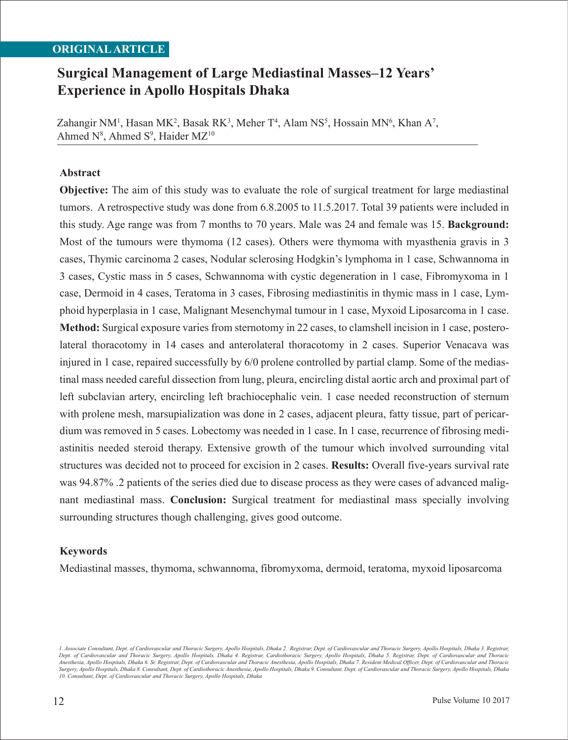### **ORIGINAL ARTICLE**

# **Surgical Management of Large Mediastinal Masses–12 Years' Experience in Apollo Hospitals Dhaka**

Zahangir NM<sup>1</sup>, Hasan MK<sup>2</sup>, Basak RK<sup>3</sup>, Meher T<sup>4</sup>, Alam NS<sup>5</sup>, Hossain MN<sup>6</sup>, Khan A<sup>7</sup>, Ahmed  $N^8$ , Ahmed  $S^9$ , Haider MZ<sup>10</sup>

### **Abstract**

**Objective:** The aim of this study was to evaluate the role of surgical treatment for large mediastinal tumors. A retrospective study was done from 6.8.2005 to 11.5.2017. Total 39 patients were included in this study. Age range was from 7 months to 70 years. Male was 24 and female was 15. **Background:**  Most of the tumours were thymoma (12 cases). Others were thymoma with myasthenia gravis in 3 cases, Thymic carcinoma 2 cases, Nodular sclerosing Hodgkin's lymphoma in 1 case, Schwannoma in 3 cases, Cystic mass in 5 cases, Schwannoma with cystic degeneration in 1 case, Fibromyxoma in 1 case, Dermoid in 4 cases, Teratoma in 3 cases, Fibrosing mediastinitis in thymic mass in 1 case, Lymphoid hyperplasia in 1 case, Malignant Mesenchymal tumour in 1 case, Myxoid Liposarcoma in 1 case. **Method:** Surgical exposure varies from sternotomy in 22 cases, to clamshell incision in 1 case, posterolateral thoracotomy in 14 cases and anterolateral thoracotomy in 2 cases. Superior Venacava was injured in 1 case, repaired successfully by 6/0 prolene controlled by partial clamp. Some of the mediastinal mass needed careful dissection from lung, pleura, encircling distal aortic arch and proximal part of left subclavian artery, encircling left brachiocephalic vein. 1 case needed reconstruction of sternum with prolene mesh, marsupialization was done in 2 cases, adjacent pleura, fatty tissue, part of pericardium was removed in 5 cases. Lobectomy was needed in 1 case. In 1 case, recurrence of fibrosing mediastinitis needed steroid therapy. Extensive growth of the tumour which involved surrounding vital structures was decided not to proceed for excision in 2 cases. **Results:** Overall five-years survival rate was 94.87% .2 patients of the series died due to disease process as they were cases of advanced malignant mediastinal mass. **Conclusion:** Surgical treatment for mediastinal mass specially involving surrounding structures though challenging, gives good outcome.

### **Keywords**

Mediastinal masses, thymoma, schwannoma, fibromyxoma, dermoid, teratoma, myxoid liposarcoma

*<sup>1.</sup> Associate Consultant, Dept. of Cardiovascular and Thoracic Surgery, Apollo Hospitals, Dhaka 2. Registrar, Dept. of Cardiovascular and Thoracic Surgery, Apollo Hospitals, Dhaka 3. Registrar, Dept. of Cardiovascular and Thoracic Surgery, Apollo Hospitals, Dhaka 4. Registrar, Cardiothoracic Surgery, Apollo Hospitals, Dhaka 5. Registrar, Dept. of Cardiovascular and Thoracic Anesthesia, Apollo Hospitals, Dhaka 6. Sr. Registrar, Dept. of Cardiovascular and Thoracic Anesthesia, Apollo Hospitals, Dhaka 7. Resident Medical Officer, Dept. of Cardiovascular and Thoracic Surgery, Apollo Hospitals, Dhaka 8. Consultant, Dept. of Cardiothoracic Anesthesia, Apollo Hospitals, Dhaka 9. Consultant, Dept. of Cardiovascular and Thoracic Surgery, Apollo Hospitals, Dhaka 10. Consultant, Dept. of Cardiovascular and Thoracic Surgery, Apollo Hospitals, Dhaka*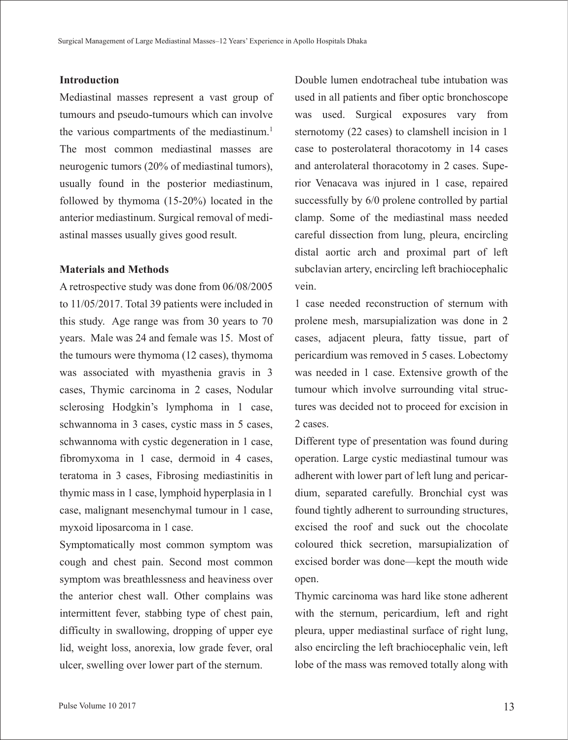### **Introduction**

Mediastinal masses represent a vast group of tumours and pseudo-tumours which can involve the various compartments of the mediastinum.<sup>1</sup> The most common mediastinal masses are neurogenic tumors (20% of mediastinal tumors), usually found in the posterior mediastinum, followed by thymoma (15-20%) located in the anterior mediastinum. Surgical removal of mediastinal masses usually gives good result.

#### **Materials and Methods**

A retrospective study was done from 06/08/2005 to 11/05/2017. Total 39 patients were included in this study. Age range was from 30 years to 70 years. Male was 24 and female was 15. Most of the tumours were thymoma (12 cases), thymoma was associated with myasthenia gravis in 3 cases, Thymic carcinoma in 2 cases, Nodular sclerosing Hodgkin's lymphoma in 1 case, schwannoma in 3 cases, cystic mass in 5 cases, schwannoma with cystic degeneration in 1 case, fibromyxoma in 1 case, dermoid in 4 cases, teratoma in 3 cases, Fibrosing mediastinitis in thymic mass in 1 case, lymphoid hyperplasia in 1 case, malignant mesenchymal tumour in 1 case, myxoid liposarcoma in 1 case.

Symptomatically most common symptom was cough and chest pain. Second most common symptom was breathlessness and heaviness over the anterior chest wall. Other complains was intermittent fever, stabbing type of chest pain, difficulty in swallowing, dropping of upper eye lid, weight loss, anorexia, low grade fever, oral ulcer, swelling over lower part of the sternum.

Double lumen endotracheal tube intubation was used in all patients and fiber optic bronchoscope was used. Surgical exposures vary from sternotomy (22 cases) to clamshell incision in 1 case to posterolateral thoracotomy in 14 cases and anterolateral thoracotomy in 2 cases. Superior Venacava was injured in 1 case, repaired successfully by 6/0 prolene controlled by partial clamp. Some of the mediastinal mass needed careful dissection from lung, pleura, encircling distal aortic arch and proximal part of left subclavian artery, encircling left brachiocephalic vein.

1 case needed reconstruction of sternum with prolene mesh, marsupialization was done in 2 cases, adjacent pleura, fatty tissue, part of pericardium was removed in 5 cases. Lobectomy was needed in 1 case. Extensive growth of the tumour which involve surrounding vital structures was decided not to proceed for excision in 2 cases.

Different type of presentation was found during operation. Large cystic mediastinal tumour was adherent with lower part of left lung and pericardium, separated carefully. Bronchial cyst was found tightly adherent to surrounding structures, excised the roof and suck out the chocolate coloured thick secretion, marsupialization of excised border was done—kept the mouth wide open.

Thymic carcinoma was hard like stone adherent with the sternum, pericardium, left and right pleura, upper mediastinal surface of right lung, also encircling the left brachiocephalic vein, left lobe of the mass was removed totally along with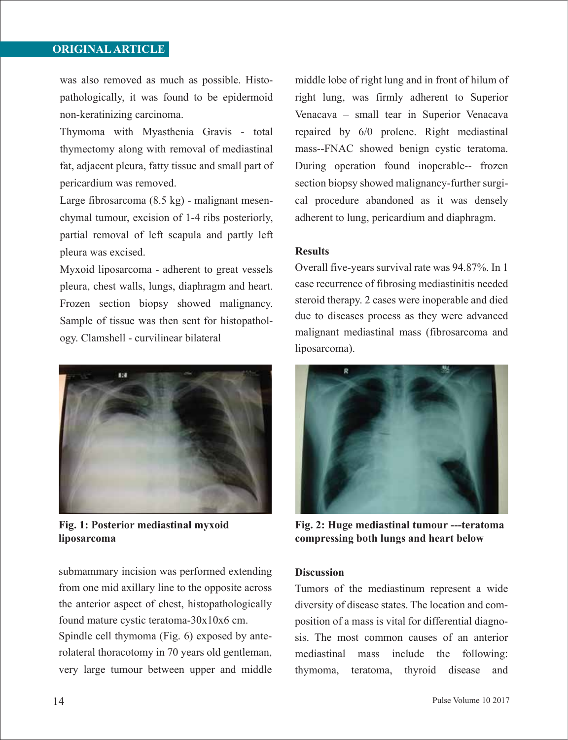## **ORIGINAL ARTICLE**

was also removed as much as possible. Histopathologically, it was found to be epidermoid non-keratinizing carcinoma.

Thymoma with Myasthenia Gravis - total thymectomy along with removal of mediastinal fat, adjacent pleura, fatty tissue and small part of pericardium was removed.

Large fibrosarcoma (8.5 kg) - malignant mesenchymal tumour, excision of 1-4 ribs posteriorly, partial removal of left scapula and partly left pleura was excised.

Myxoid liposarcoma - adherent to great vessels pleura, chest walls, lungs, diaphragm and heart. Frozen section biopsy showed malignancy. Sample of tissue was then sent for histopathology. Clamshell - curvilinear bilateral



**Fig. 1: Posterior mediastinal myxoid liposarcoma**

submammary incision was performed extending from one mid axillary line to the opposite across the anterior aspect of chest, histopathologically found mature cystic teratoma-30x10x6 cm. Spindle cell thymoma (Fig. 6) exposed by anterolateral thoracotomy in 70 years old gentleman, very large tumour between upper and middle middle lobe of right lung and in front of hilum of right lung, was firmly adherent to Superior Venacava – small tear in Superior Venacava repaired by 6/0 prolene. Right mediastinal mass--FNAC showed benign cystic teratoma. During operation found inoperable-- frozen section biopsy showed malignancy-further surgical procedure abandoned as it was densely adherent to lung, pericardium and diaphragm.

### **Results**

Overall five-years survival rate was 94.87%. In 1 case recurrence of fibrosing mediastinitis needed steroid therapy. 2 cases were inoperable and died due to diseases process as they were advanced malignant mediastinal mass (fibrosarcoma and liposarcoma).



**Fig. 2: Huge mediastinal tumour ---teratoma compressing both lungs and heart below**

### **Discussion**

Tumors of the mediastinum represent a wide diversity of disease states. The location and composition of a mass is vital for differential diagnosis. The most common causes of an anterior mediastinal mass include the following: thymoma, teratoma, thyroid disease and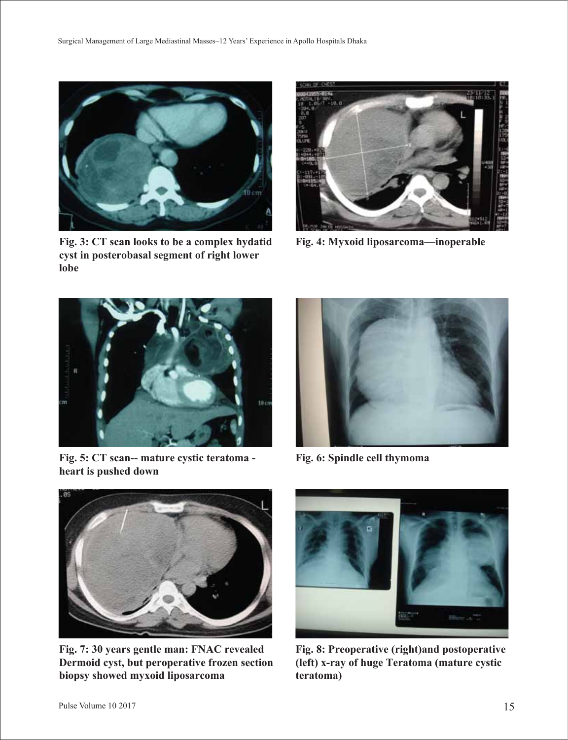

**Fig. 3: CT scan looks to be a complex hydatid cyst in posterobasal segment of right lower lobe**



**Fig. 4: Myxoid liposarcoma—inoperable**



**Fig. 5: CT scan-- mature cystic teratoma heart is pushed down**



**Fig. 6: Spindle cell thymoma**



**Fig. 7: 30 years gentle man: FNAC revealed Dermoid cyst, but peroperative frozen section biopsy showed myxoid liposarcoma**



**Fig. 8: Preoperative (right)and postoperative (left) x-ray of huge Teratoma (mature cystic teratoma)**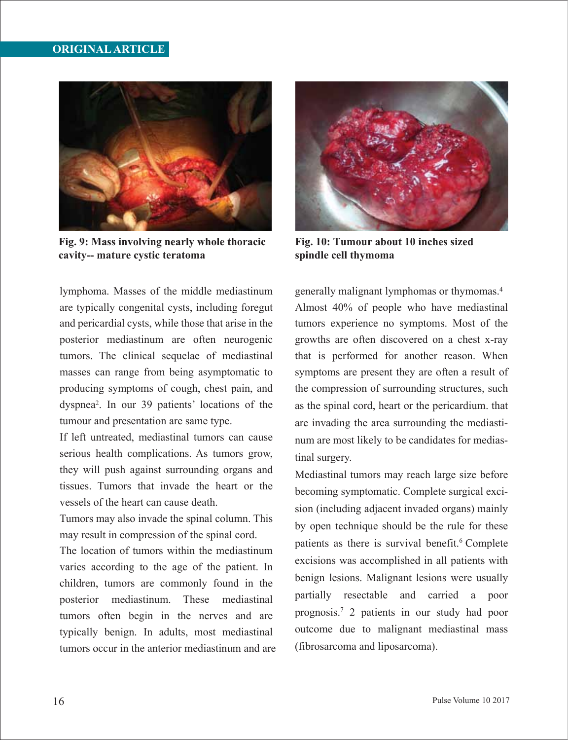### **ORIGINAL ARTICLE**



**Fig. 9: Mass involving nearly whole thoracic cavity-- mature cystic teratoma**

lymphoma. Masses of the middle mediastinum are typically congenital cysts, including foregut and pericardial cysts, while those that arise in the posterior mediastinum are often neurogenic tumors. The clinical sequelae of mediastinal masses can range from being asymptomatic to producing symptoms of cough, chest pain, and dyspnea2. In our 39 patients' locations of the tumour and presentation are same type.

If left untreated, mediastinal tumors can cause serious health complications. As tumors grow, they will push against surrounding organs and tissues. Tumors that invade the heart or the vessels of the heart can cause death.

Tumors may also invade the spinal column. This may result in compression of the spinal cord.

The location of tumors within the mediastinum varies according to the age of the patient. In children, tumors are commonly found in the posterior mediastinum. These mediastinal tumors often begin in the nerves and are typically benign. In adults, most mediastinal tumors occur in the anterior mediastinum and are



**Fig. 10: Tumour about 10 inches sized spindle cell thymoma**

generally malignant lymphomas or thymomas.4 Almost 40% of people who have mediastinal tumors experience no symptoms. Most of the growths are often discovered on a chest x-ray that is performed for another reason. When symptoms are present they are often a result of the compression of surrounding structures, such as the spinal cord, heart or the pericardium. that are invading the area surrounding the mediastinum are most likely to be candidates for mediastinal surgery.

Mediastinal tumors may reach large size before becoming symptomatic. Complete surgical excision (including adjacent invaded organs) mainly by open technique should be the rule for these patients as there is survival benefit.<sup>6</sup> Complete excisions was accomplished in all patients with benign lesions. Malignant lesions were usually partially resectable and carried a poor prognosis.7 2 patients in our study had poor outcome due to malignant mediastinal mass (fibrosarcoma and liposarcoma).